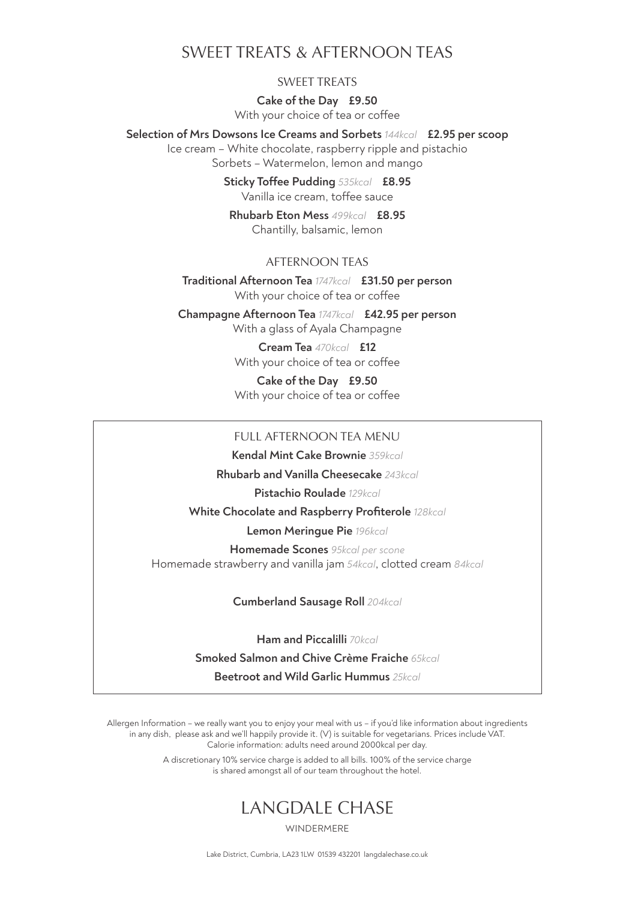## SWEET TREATS & AFTERNOON TEAS

## SWEET TREATS

**Cake of the Day £9.50**  With your choice of tea or coffee

**Selection of Mrs Dowsons Ice Creams and Sorbets** *144kcal* **£2.95 per scoop** 

Ice cream – White chocolate, raspberry ripple and pistachio Sorbets – Watermelon, lemon and mango

> **Sticky Toffee Pudding** *535kcal* **£8.95** Vanilla ice cream, toffee sauce

**Rhubarb Eton Mess** *499kcal* **£8.95**  Chantilly, balsamic, lemon

## AFTERNOON TEAS

**Traditional Afternoon Tea** *1747kcal* **£31.50 per person** With your choice of tea or coffee

**Champagne Afternoon Tea** *1747kcal* **£42.95 per person** With a glass of Ayala Champagne

> **Cream Tea** *470kcal* **£12** With your choice of tea or coffee

> **Cake of the Day £9.50** With your choice of tea or coffee

#### FULL AFTERNOON TEA MENU

**Kendal Mint Cake Brownie** *359kcal*

**Rhubarb and Vanilla Cheesecake** *243kcal*

**Pistachio Roulade** *129kcal*

**White Chocolate and Raspberry Profiterole** *128kcal*

**Lemon Meringue Pie** *196kcal*

**Homemade Scones** *95kcal per scone* Homemade strawberry and vanilla jam *54kcal*, clotted cream *84kcal*

**Cumberland Sausage Roll** *204kcal*

**Ham and Piccalilli** *70kcal* **Smoked Salmon and Chive Crème Fraiche** *65kcal* **Beetroot and Wild Garlic Hummus** *25kcal*

Allergen Information – we really want you to enjoy your meal with us – if you'd like information about ingredients in any dish, please ask and we'll happily provide it. (V) is suitable for vegetarians. Prices include VAT. Calorie information: adults need around 2000kcal per day.

> A discretionary 10% service charge is added to all bills. 100% of the service charge is shared amongst all of our team throughout the hotel.

# LANGDALE CHASE

WINDERMERE

Lake District, Cumbria, LA23 1LW 01539 432201 langdalechase.co.uk